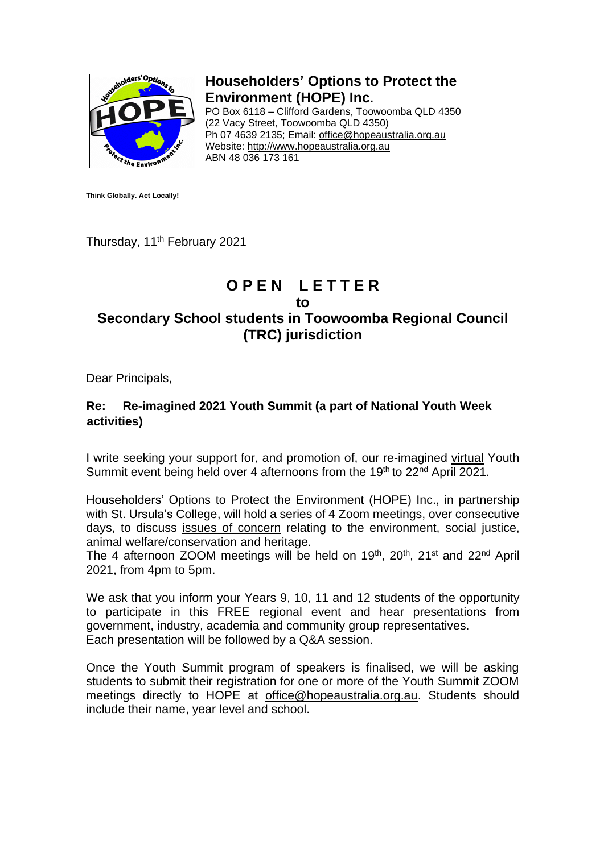

**Householders' Options to Protect the Environment (HOPE) Inc.**

PO Box 6118 – Clifford Gardens, Toowoomba QLD 4350 (22 Vacy Street, Toowoomba QLD 4350) Ph 07 4639 2135; Email: office@hopeaustralia.org.au Website: http://www.hopeaustralia.org.au ABN 48 036 173 161

**Think Globally. Act Locally!**

Thursday, 11<sup>th</sup> February 2021

## **O P E N L E T T E R**

## **to**

## **Secondary School students in Toowoomba Regional Council (TRC) jurisdiction**

Dear Principals,

## **Re: Re-imagined 2021 Youth Summit (a part of National Youth Week activities)**

I write seeking your support for, and promotion of, our re-imagined virtual Youth Summit event being held over 4 afternoons from the 19<sup>th</sup> to 22<sup>nd</sup> April 2021.

Householders' Options to Protect the Environment (HOPE) Inc., in partnership with St. Ursula's College, will hold a series of 4 Zoom meetings, over consecutive days, to discuss issues of concern relating to the environment, social justice, animal welfare/conservation and heritage.

The 4 afternoon ZOOM meetings will be held on 19<sup>th</sup>, 20<sup>th</sup>, 21<sup>st</sup> and 22<sup>nd</sup> April 2021, from 4pm to 5pm.

We ask that you inform your Years 9, 10, 11 and 12 students of the opportunity to participate in this FREE regional event and hear presentations from government, industry, academia and community group representatives. Each presentation will be followed by a Q&A session.

Once the Youth Summit program of speakers is finalised, we will be asking students to submit their registration for one or more of the Youth Summit ZOOM meetings directly to HOPE at office@hopeaustralia.org.au. Students should include their name, year level and school.